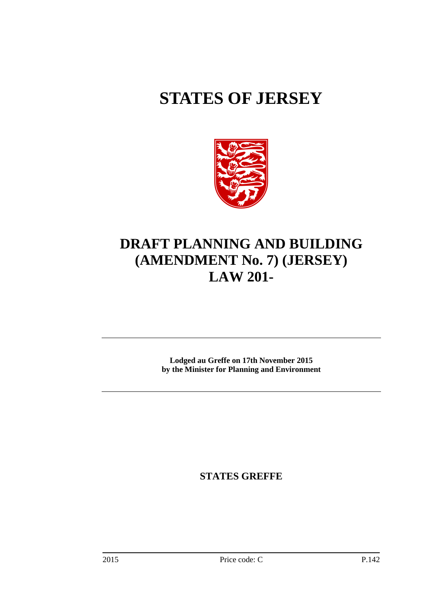# **STATES OF JERSEY**



# **DRAFT PLANNING AND BUILDING (AMENDMENT No. 7) (JERSEY) LAW 201-**

**Lodged au Greffe on 17th November 2015 by the Minister for Planning and Environment** 

**STATES GREFFE**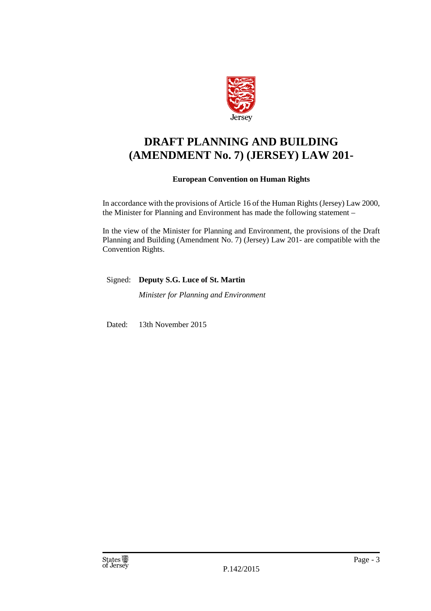

## **DRAFT PLANNING AND BUILDING (AMENDMENT No. 7) (JERSEY) LAW 201-**

## **European Convention on Human Rights**

In accordance with the provisions of Article 16 of the Human Rights (Jersey) Law 2000, the Minister for Planning and Environment has made the following statement –

In the view of the Minister for Planning and Environment, the provisions of the Draft Planning and Building (Amendment No. 7) (Jersey) Law 201- are compatible with the Convention Rights.

Signed: **Deputy S.G. Luce of St. Martin** 

*Minister for Planning and Environment* 

Dated: 13th November 2015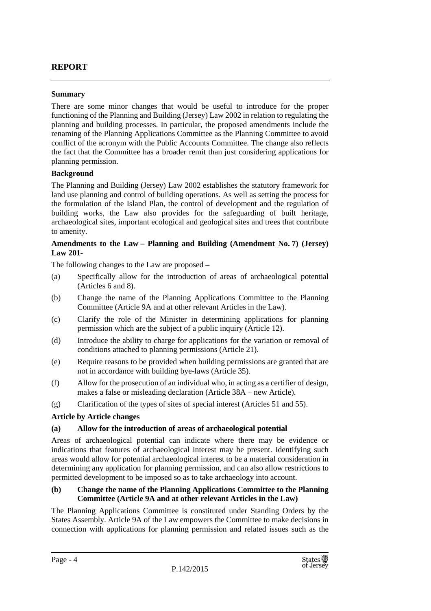## **REPORT**

#### **Summary**

There are some minor changes that would be useful to introduce for the proper functioning of the Planning and Building (Jersey) Law 2002 in relation to regulating the planning and building processes. In particular, the proposed amendments include the renaming of the Planning Applications Committee as the Planning Committee to avoid conflict of the acronym with the Public Accounts Committee. The change also reflects the fact that the Committee has a broader remit than just considering applications for planning permission.

#### **Background**

The Planning and Building (Jersey) Law 2002 establishes the statutory framework for land use planning and control of building operations. As well as setting the process for the formulation of the Island Plan, the control of development and the regulation of building works, the Law also provides for the safeguarding of built heritage, archaeological sites, important ecological and geological sites and trees that contribute to amenity.

#### **Amendments to the Law – Planning and Building (Amendment No. 7) (Jersey) Law 201-**

The following changes to the Law are proposed –

- (a) Specifically allow for the introduction of areas of archaeological potential (Articles 6 and 8).
- (b) Change the name of the Planning Applications Committee to the Planning Committee (Article 9A and at other relevant Articles in the Law).
- (c) Clarify the role of the Minister in determining applications for planning permission which are the subject of a public inquiry (Article 12).
- (d) Introduce the ability to charge for applications for the variation or removal of conditions attached to planning permissions (Article 21).
- (e) Require reasons to be provided when building permissions are granted that are not in accordance with building bye-laws (Article 35).
- (f) Allow for the prosecution of an individual who, in acting as a certifier of design, makes a false or misleading declaration (Article 38A – new Article).
- (g) Clarification of the types of sites of special interest (Articles 51 and 55).

#### **Article by Article changes**

#### **(a) Allow for the introduction of areas of archaeological potential**

Areas of archaeological potential can indicate where there may be evidence or indications that features of archaeological interest may be present. Identifying such areas would allow for potential archaeological interest to be a material consideration in determining any application for planning permission, and can also allow restrictions to permitted development to be imposed so as to take archaeology into account.

#### **(b) Change the name of the Planning Applications Committee to the Planning Committee (Article 9A and at other relevant Articles in the Law)**

The Planning Applications Committee is constituted under Standing Orders by the States Assembly. Article 9A of the Law empowers the Committee to make decisions in connection with applications for planning permission and related issues such as the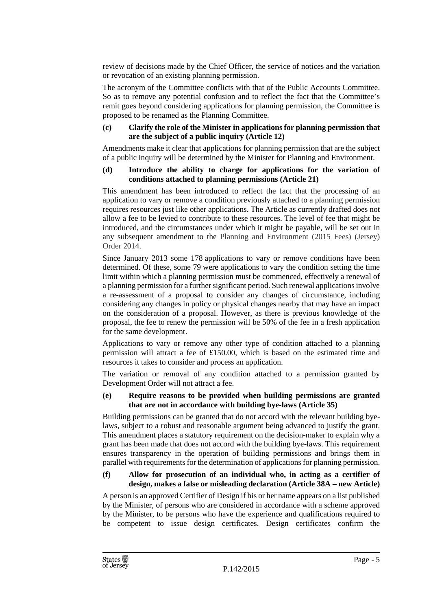review of decisions made by the Chief Officer, the service of notices and the variation or revocation of an existing planning permission.

The acronym of the Committee conflicts with that of the Public Accounts Committee. So as to remove any potential confusion and to reflect the fact that the Committee's remit goes beyond considering applications for planning permission, the Committee is proposed to be renamed as the Planning Committee.

#### **(c) Clarify the role of the Minister in applications for planning permission that are the subject of a public inquiry (Article 12)**

Amendments make it clear that applications for planning permission that are the subject of a public inquiry will be determined by the Minister for Planning and Environment.

#### **(d) Introduce the ability to charge for applications for the variation of conditions attached to planning permissions (Article 21)**

This amendment has been introduced to reflect the fact that the processing of an application to vary or remove a condition previously attached to a planning permission requires resources just like other applications. The Article as currently drafted does not allow a fee to be levied to contribute to these resources. The level of fee that might be introduced, and the circumstances under which it might be payable, will be set out in any subsequent amendment to the Planning and Environment (2015 Fees) (Jersey) Order 2014.

Since January 2013 some 178 applications to vary or remove conditions have been determined. Of these, some 79 were applications to vary the condition setting the time limit within which a planning permission must be commenced, effectively a renewal of a planning permission for a further significant period. Such renewal applications involve a re-assessment of a proposal to consider any changes of circumstance, including considering any changes in policy or physical changes nearby that may have an impact on the consideration of a proposal. However, as there is previous knowledge of the proposal, the fee to renew the permission will be 50% of the fee in a fresh application for the same development.

Applications to vary or remove any other type of condition attached to a planning permission will attract a fee of £150.00, which is based on the estimated time and resources it takes to consider and process an application.

The variation or removal of any condition attached to a permission granted by Development Order will not attract a fee.

#### **(e) Require reasons to be provided when building permissions are granted that are not in accordance with building bye-laws (Article 35)**

Building permissions can be granted that do not accord with the relevant building byelaws, subject to a robust and reasonable argument being advanced to justify the grant. This amendment places a statutory requirement on the decision-maker to explain why a grant has been made that does not accord with the building bye-laws. This requirement ensures transparency in the operation of building permissions and brings them in parallel with requirements for the determination of applications for planning permission.

#### **(f) Allow for prosecution of an individual who, in acting as a certifier of design, makes a false or misleading declaration (Article 38A – new Article)**

A person is an approved Certifier of Design if his or her name appears on a list published by the Minister, of persons who are considered in accordance with a scheme approved by the Minister, to be persons who have the experience and qualifications required to be competent to issue design certificates. Design certificates confirm the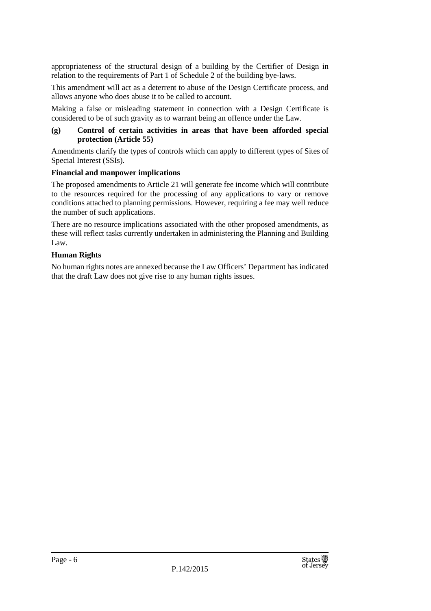appropriateness of the structural design of a building by the Certifier of Design in relation to the requirements of Part 1 of Schedule 2 of the building bye-laws.

This amendment will act as a deterrent to abuse of the Design Certificate process, and allows anyone who does abuse it to be called to account.

Making a false or misleading statement in connection with a Design Certificate is considered to be of such gravity as to warrant being an offence under the Law.

#### **(g) Control of certain activities in areas that have been afforded special protection (Article 55)**

Amendments clarify the types of controls which can apply to different types of Sites of Special Interest (SSIs).

#### **Financial and manpower implications**

The proposed amendments to Article 21 will generate fee income which will contribute to the resources required for the processing of any applications to vary or remove conditions attached to planning permissions. However, requiring a fee may well reduce the number of such applications.

There are no resource implications associated with the other proposed amendments, as these will reflect tasks currently undertaken in administering the Planning and Building Law.

#### **Human Rights**

No human rights notes are annexed because the Law Officers' Department has indicated that the draft Law does not give rise to any human rights issues.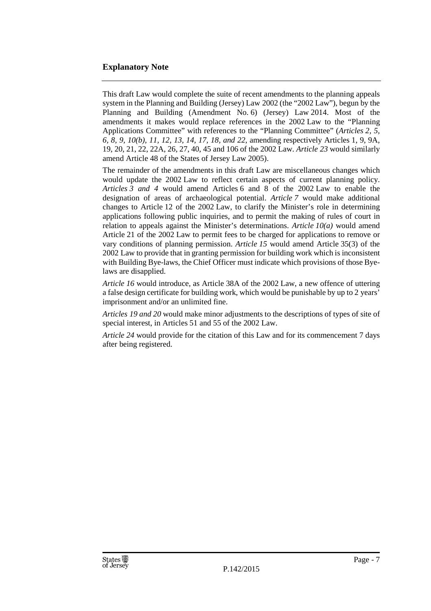## **Explanatory Note**

This draft Law would complete the suite of recent amendments to the planning appeals system in the Planning and Building (Jersey) Law 2002 (the "2002 Law"), begun by the Planning and Building (Amendment No. 6) (Jersey) Law 2014. Most of the amendments it makes would replace references in the 2002 Law to the "Planning Applications Committee" with references to the "Planning Committee" (*Articles 2, 5, 6, 8, 9, 10(b), 11, 12, 13, 14, 17, 18, and 22*, amending respectively Articles 1, 9, 9A, 19, 20, 21, 22, 22A, 26, 27, 40, 45 and 106 of the 2002 Law. *Article 23* would similarly amend Article 48 of the States of Jersey Law 2005).

The remainder of the amendments in this draft Law are miscellaneous changes which would update the 2002 Law to reflect certain aspects of current planning policy. *Articles 3 and 4* would amend Articles 6 and 8 of the 2002 Law to enable the designation of areas of archaeological potential. *Article 7* would make additional changes to Article 12 of the 2002 Law, to clarify the Minister's role in determining applications following public inquiries, and to permit the making of rules of court in relation to appeals against the Minister's determinations. *Article 10(a)* would amend Article 21 of the 2002 Law to permit fees to be charged for applications to remove or vary conditions of planning permission. *Article 15* would amend Article 35(3) of the 2002 Law to provide that in granting permission for building work which is inconsistent with Building Bye-laws, the Chief Officer must indicate which provisions of those Byelaws are disapplied.

*Article 16* would introduce, as Article 38A of the 2002 Law, a new offence of uttering a false design certificate for building work, which would be punishable by up to 2 years' imprisonment and/or an unlimited fine.

*Articles 19 and 20* would make minor adjustments to the descriptions of types of site of special interest, in Articles 51 and 55 of the 2002 Law.

*Article 24* would provide for the citation of this Law and for its commencement 7 days after being registered.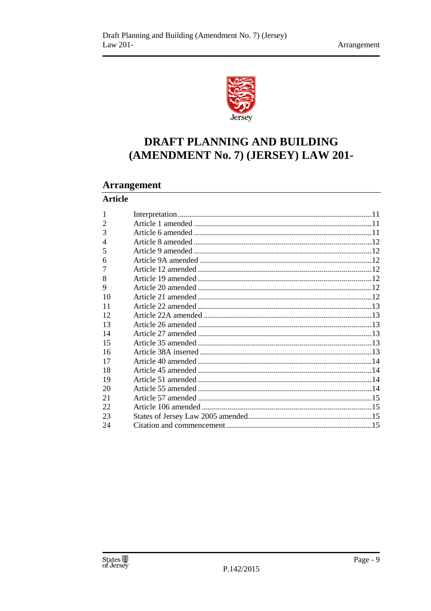

# DRAFT PLANNING AND BUILDING (AMENDMENT No. 7) (JERSEY) LAW 201-

## **Arrangement**

## **Article**

| 1  |  |
|----|--|
| 2  |  |
| 3  |  |
| 4  |  |
| 5  |  |
| 6  |  |
| 7  |  |
| 8  |  |
| 9  |  |
| 10 |  |
| 11 |  |
| 12 |  |
| 13 |  |
| 14 |  |
| 15 |  |
| 16 |  |
| 17 |  |
| 18 |  |
| 19 |  |
| 20 |  |
| 21 |  |
| 22 |  |
| 23 |  |
| 24 |  |
|    |  |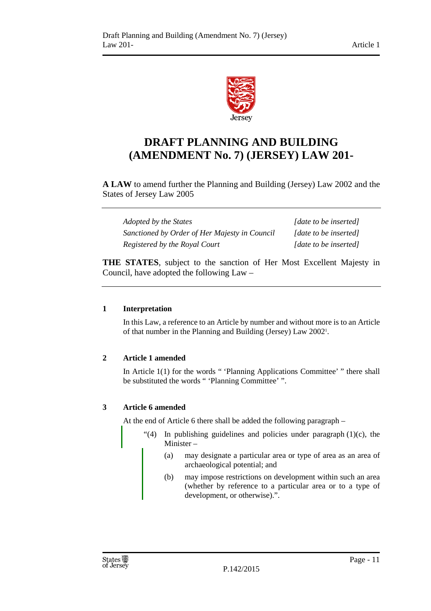

# **DRAFT PLANNING AND BUILDING (AMENDMENT No. 7) (JERSEY) LAW 201-**

**A LAW** to amend further the Planning and Building (Jersey) Law 2002 and the States of Jersey Law 2005

| Adopted by the States                         | [date to be inserted] |
|-----------------------------------------------|-----------------------|
| Sanctioned by Order of Her Majesty in Council | [date to be inserted] |
| Registered by the Royal Court                 | [date to be inserted] |

**THE STATES**, subject to the sanction of Her Most Excellent Majesty in Council, have adopted the following Law –

### **1 Interpretation**

In this Law, a reference to an Article by number and without more is to an Article of that number in the Planning and Building (Jersey) Law 2002<sup>1</sup> .

## **2 Article 1 amended**

In Article 1(1) for the words " 'Planning Applications Committee' " there shall be substituted the words " 'Planning Committee' ".

## **3 Article 6 amended**

At the end of Article 6 there shall be added the following paragraph –

- "(4) In publishing guidelines and policies under paragraph  $(1)(c)$ , the Minister –
	- (a) may designate a particular area or type of area as an area of archaeological potential; and
	- (b) may impose restrictions on development within such an area (whether by reference to a particular area or to a type of development, or otherwise).".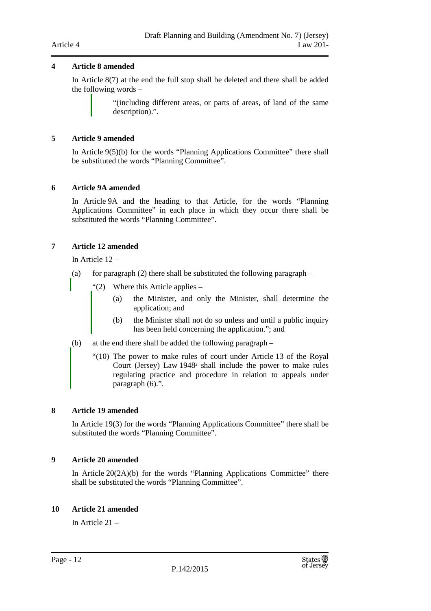#### **4 Article 8 amended**

In Article 8(7) at the end the full stop shall be deleted and there shall be added the following words –

> "(including different areas, or parts of areas, of land of the same description).".

#### **5 Article 9 amended**

In Article 9(5)(b) for the words "Planning Applications Committee" there shall be substituted the words "Planning Committee".

#### **6 Article 9A amended**

In Article 9A and the heading to that Article, for the words "Planning Applications Committee" in each place in which they occur there shall be substituted the words "Planning Committee".

#### **7 Article 12 amended**

In Article 12 –

- (a) for paragraph  $(2)$  there shall be substituted the following paragraph
	- "(2) Where this Article applies
		- (a) the Minister, and only the Minister, shall determine the application; and
		- (b) the Minister shall not do so unless and until a public inquiry has been held concerning the application."; and
- (b) at the end there shall be added the following paragraph
	- "(10) The power to make rules of court under Article 13 of the Royal Court (Jersey) Law 1948<sup>2</sup> shall include the power to make rules regulating practice and procedure in relation to appeals under paragraph (6).".

#### **8 Article 19 amended**

In Article 19(3) for the words "Planning Applications Committee" there shall be substituted the words "Planning Committee".

#### **9 Article 20 amended**

In Article 20(2A)(b) for the words "Planning Applications Committee" there shall be substituted the words "Planning Committee".

#### **10 Article 21 amended**

In Article 21 –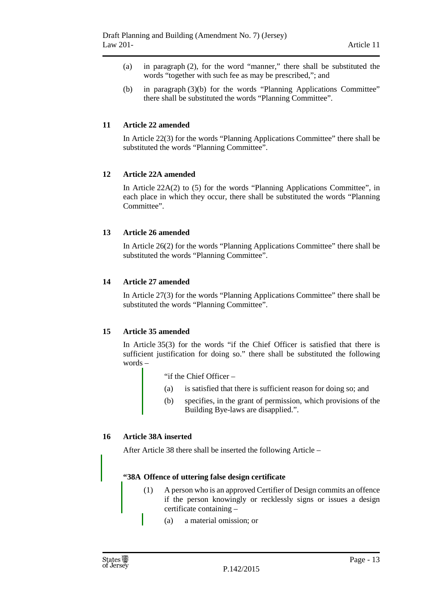- (a) in paragraph (2), for the word "manner," there shall be substituted the words "together with such fee as may be prescribed,"; and
- (b) in paragraph (3)(b) for the words "Planning Applications Committee" there shall be substituted the words "Planning Committee".

#### **11 Article 22 amended**

In Article 22(3) for the words "Planning Applications Committee" there shall be substituted the words "Planning Committee".

#### **12 Article 22A amended**

In Article 22A(2) to (5) for the words "Planning Applications Committee", in each place in which they occur, there shall be substituted the words "Planning Committee".

#### **13 Article 26 amended**

In Article 26(2) for the words "Planning Applications Committee" there shall be substituted the words "Planning Committee".

#### **14 Article 27 amended**

In Article 27(3) for the words "Planning Applications Committee" there shall be substituted the words "Planning Committee".

#### **15 Article 35 amended**

In Article 35(3) for the words "if the Chief Officer is satisfied that there is sufficient justification for doing so." there shall be substituted the following words –

"if the Chief Officer –

- (a) is satisfied that there is sufficient reason for doing so; and
- (b) specifies, in the grant of permission, which provisions of the Building Bye-laws are disapplied.".

#### **16 Article 38A inserted**

After Article 38 there shall be inserted the following Article –

#### **"38A Offence of uttering false design certificate**

- (1) A person who is an approved Certifier of Design commits an offence if the person knowingly or recklessly signs or issues a design certificate containing –
	- (a) a material omission; or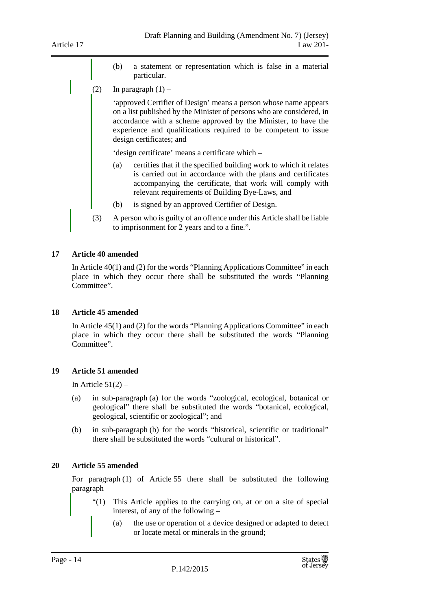- (b) a statement or representation which is false in a material particular.
- (2) In paragraph  $(1)$  –

'approved Certifier of Design' means a person whose name appears on a list published by the Minister of persons who are considered, in accordance with a scheme approved by the Minister, to have the experience and qualifications required to be competent to issue design certificates; and

'design certificate' means a certificate which –

- (a) certifies that if the specified building work to which it relates is carried out in accordance with the plans and certificates accompanying the certificate, that work will comply with relevant requirements of Building Bye-Laws, and
- (b) is signed by an approved Certifier of Design.
- (3) A person who is guilty of an offence under this Article shall be liable to imprisonment for 2 years and to a fine.".

#### **17 Article 40 amended**

In Article 40(1) and (2) for the words "Planning Applications Committee" in each place in which they occur there shall be substituted the words "Planning Committee".

#### **18 Article 45 amended**

In Article 45(1) and (2) for the words "Planning Applications Committee" in each place in which they occur there shall be substituted the words "Planning Committee".

#### **19 Article 51 amended**

In Article  $51(2)$  –

- (a) in sub-paragraph (a) for the words "zoological, ecological, botanical or geological" there shall be substituted the words "botanical, ecological, geological, scientific or zoological"; and
- (b) in sub-paragraph (b) for the words "historical, scientific or traditional" there shall be substituted the words "cultural or historical".

#### **20 Article 55 amended**

For paragraph (1) of Article 55 there shall be substituted the following paragraph –

- "(1) This Article applies to the carrying on, at or on a site of special interest, of any of the following –
	- (a) the use or operation of a device designed or adapted to detect or locate metal or minerals in the ground;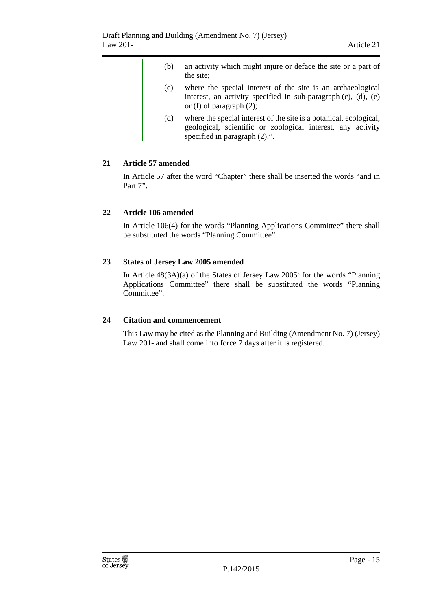(b) an activity which might injure or deface the site or a part of the site; (c) where the special interest of the site is an archaeological interest, an activity specified in sub-paragraph (c), (d), (e) or (f) of paragraph (2); (d) where the special interest of the site is a botanical, ecological, geological, scientific or zoological interest, any activity specified in paragraph  $(2)$ .".

#### **21 Article 57 amended**

In Article 57 after the word "Chapter" there shall be inserted the words "and in Part 7".

#### **22 Article 106 amended**

In Article 106(4) for the words "Planning Applications Committee" there shall be substituted the words "Planning Committee".

#### **23 States of Jersey Law 2005 amended**

In Article 48(3A)(a) of the States of Jersey Law 2005<sup>3</sup> for the words "Planning Applications Committee" there shall be substituted the words "Planning Committee".

#### **24 Citation and commencement**

This Law may be cited as the Planning and Building (Amendment No. 7) (Jersey) Law 201- and shall come into force 7 days after it is registered.